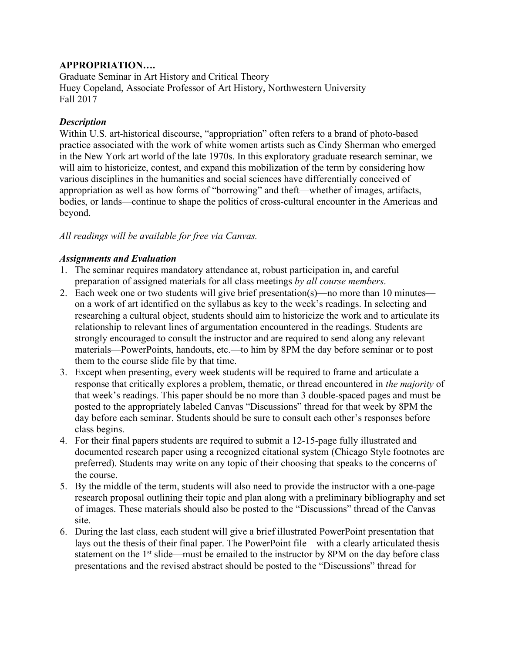## **APPROPRIATION….**

Graduate Seminar in Art History and Critical Theory Huey Copeland, Associate Professor of Art History, Northwestern University Fall 2017

# *Description*

Within U.S. art-historical discourse, "appropriation" often refers to a brand of photo-based practice associated with the work of white women artists such as Cindy Sherman who emerged in the New York art world of the late 1970s. In this exploratory graduate research seminar, we will aim to historicize, contest, and expand this mobilization of the term by considering how various disciplines in the humanities and social sciences have differentially conceived of appropriation as well as how forms of "borrowing" and theft—whether of images, artifacts, bodies, or lands—continue to shape the politics of cross-cultural encounter in the Americas and beyond.

# *All readings will be available for free via Canvas.*

## *Assignments and Evaluation*

- 1. The seminar requires mandatory attendance at, robust participation in, and careful preparation of assigned materials for all class meetings *by all course members*.
- 2. Each week one or two students will give brief presentation(s)—no more than 10 minutes on a work of art identified on the syllabus as key to the week's readings. In selecting and researching a cultural object, students should aim to historicize the work and to articulate its relationship to relevant lines of argumentation encountered in the readings. Students are strongly encouraged to consult the instructor and are required to send along any relevant materials—PowerPoints, handouts, etc.—to him by 8PM the day before seminar or to post them to the course slide file by that time.
- 3. Except when presenting, every week students will be required to frame and articulate a response that critically explores a problem, thematic, or thread encountered in *the majority* of that week's readings. This paper should be no more than 3 double-spaced pages and must be posted to the appropriately labeled Canvas "Discussions" thread for that week by 8PM the day before each seminar. Students should be sure to consult each other's responses before class begins.
- 4. For their final papers students are required to submit a 12-15-page fully illustrated and documented research paper using a recognized citational system (Chicago Style footnotes are preferred). Students may write on any topic of their choosing that speaks to the concerns of the course.
- 5. By the middle of the term, students will also need to provide the instructor with a one-page research proposal outlining their topic and plan along with a preliminary bibliography and set of images. These materials should also be posted to the "Discussions" thread of the Canvas site.
- 6. During the last class, each student will give a brief illustrated PowerPoint presentation that lays out the thesis of their final paper. The PowerPoint file—with a clearly articulated thesis statement on the 1<sup>st</sup> slide—must be emailed to the instructor by 8PM on the day before class presentations and the revised abstract should be posted to the "Discussions" thread for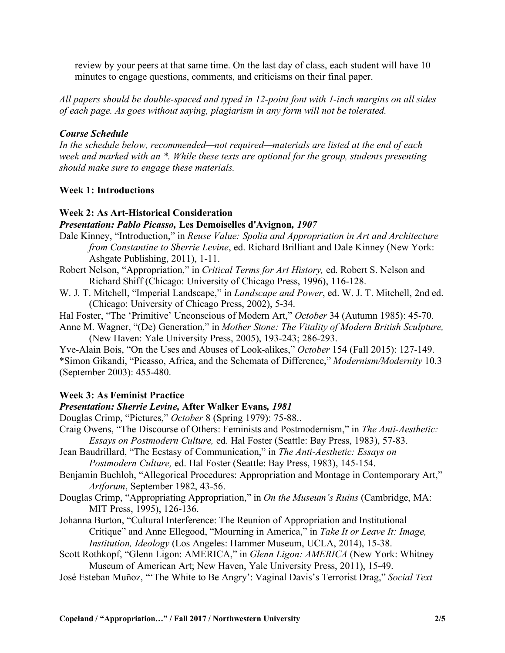review by your peers at that same time. On the last day of class, each student will have 10 minutes to engage questions, comments, and criticisms on their final paper.

*All papers should be double-spaced and typed in 12-point font with 1-inch margins on all sides of each page. As goes without saying, plagiarism in any form will not be tolerated.*

### *Course Schedule*

*In the schedule below, recommended—not required—materials are listed at the end of each week and marked with an \*. While these texts are optional for the group, students presenting should make sure to engage these materials.*

### **Week 1: Introductions**

### **Week 2: As Art-Historical Consideration**

#### *Presentation: Pablo Picasso,* **Les Demoiselles d'Avignon***, 1907*

- Dale Kinney, "Introduction," in *Reuse Value: Spolia and Appropriation in Art and Architecture from Constantine to Sherrie Levine*, ed. Richard Brilliant and Dale Kinney (New York: Ashgate Publishing, 2011), 1-11.
- Robert Nelson, "Appropriation," in *Critical Terms for Art History,* ed. Robert S. Nelson and Richard Shiff (Chicago: University of Chicago Press, 1996), 116-128.
- W. J. T. Mitchell, "Imperial Landscape," in *Landscape and Power*, ed. W. J. T. Mitchell, 2nd ed. (Chicago: University of Chicago Press, 2002), 5-34.
- Hal Foster, "The 'Primitive' Unconscious of Modern Art," *October* 34 (Autumn 1985): 45-70.
- Anne M. Wagner, "(De) Generation," in *Mother Stone: The Vitality of Modern British Sculpture,* (New Haven: Yale University Press, 2005), 193-243; 286-293.

Yve-Alain Bois, "On the Uses and Abuses of Look-alikes," *October* 154 (Fall 2015): 127-149. \*Simon Gikandi, "Picasso, Africa, and the Schemata of Difference," *Modernism/Modernity* 10.3 (September 2003): 455-480.

## **Week 3: As Feminist Practice**

#### *Presentation: Sherrie Levine,* **After Walker Evans***, 1981*

Douglas Crimp, "Pictures," *October* 8 (Spring 1979): 75-88..

- Craig Owens, "The Discourse of Others: Feminists and Postmodernism," in *The Anti-Aesthetic: Essays on Postmodern Culture,* ed. Hal Foster (Seattle: Bay Press, 1983), 57-83.
- Jean Baudrillard, "The Ecstasy of Communication," in *The Anti-Aesthetic: Essays on Postmodern Culture,* ed. Hal Foster (Seattle: Bay Press, 1983), 145-154.
- Benjamin Buchloh, "Allegorical Procedures: Appropriation and Montage in Contemporary Art," *Artforum*, September 1982, 43-56.
- Douglas Crimp, "Appropriating Appropriation," in *On the Museum's Ruins* (Cambridge, MA: MIT Press, 1995), 126-136.
- Johanna Burton, "Cultural Interference: The Reunion of Appropriation and Institutional Critique" and Anne Ellegood, "Mourning in America," in *Take It or Leave It: Image, Institution, Ideology* (Los Angeles: Hammer Museum, UCLA, 2014), 15-38.
- Scott Rothkopf, "Glenn Ligon: AMERICA," in *Glenn Ligon: AMERICA* (New York: Whitney Museum of American Art; New Haven, Yale University Press, 2011), 15-49.
- José Esteban Muñoz, "'The White to Be Angry': Vaginal Davis's Terrorist Drag," *Social Text*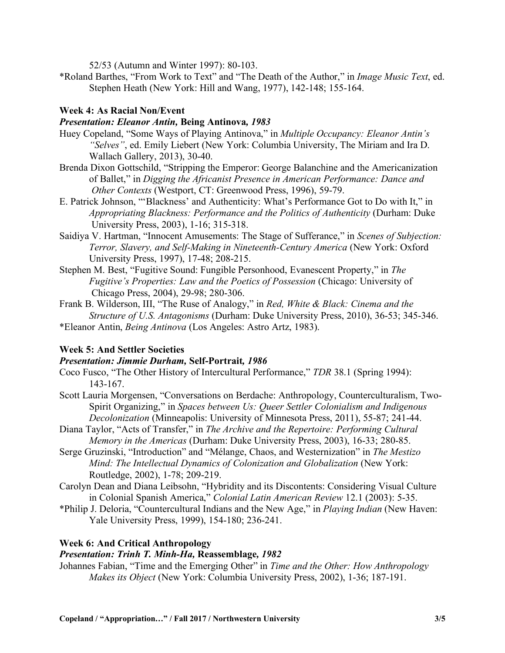52/53 (Autumn and Winter 1997): 80-103.

\*Roland Barthes, "From Work to Text" and "The Death of the Author," in *Image Music Text*, ed. Stephen Heath (New York: Hill and Wang, 1977), 142-148; 155-164.

# **Week 4: As Racial Non/Event**

## *Presentation: Eleanor Antin,* **Being Antinova***, 1983*

- Huey Copeland, "Some Ways of Playing Antinova," in *Multiple Occupancy: Eleanor Antin's "Selves"*, ed. Emily Liebert (New York: Columbia University, The Miriam and Ira D. Wallach Gallery, 2013), 30-40.
- Brenda Dixon Gottschild, "Stripping the Emperor: George Balanchine and the Americanization of Ballet," in *Digging the Africanist Presence in American Performance: Dance and Other Contexts* (Westport, CT: Greenwood Press, 1996), 59-79.
- E. Patrick Johnson, "'Blackness' and Authenticity: What's Performance Got to Do with It," in *Appropriating Blackness: Performance and the Politics of Authenticity* (Durham: Duke University Press, 2003), 1-16; 315-318.
- Saidiya V. Hartman, "Innocent Amusements: The Stage of Sufferance," in *Scenes of Subjection: Terror, Slavery, and Self-Making in Nineteenth-Century America* (New York: Oxford University Press, 1997), 17-48; 208-215.
- Stephen M. Best, "Fugitive Sound: Fungible Personhood, Evanescent Property," in *The Fugitive's Properties: Law and the Poetics of Possession* (Chicago: University of Chicago Press, 2004), 29-98; 280-306.
- Frank B. Wilderson, III, "The Ruse of Analogy," in *Red, White & Black: Cinema and the Structure of U.S. Antagonisms* (Durham: Duke University Press, 2010), 36-53; 345-346.
- \*Eleanor Antin, *Being Antinova* (Los Angeles: Astro Artz, 1983).

# **Week 5: And Settler Societies**

# *Presentation: Jimmie Durham,* **Self-Portrait***, 1986*

- Coco Fusco, "The Other History of Intercultural Performance," *TDR* 38.1 (Spring 1994): 143-167.
- Scott Lauria Morgensen, "Conversations on Berdache: Anthropology, Counterculturalism, Two-Spirit Organizing," in *Spaces between Us: Queer Settler Colonialism and Indigenous Decolonization* (Minneapolis: University of Minnesota Press, 2011), 55-87; 241-44.
- Diana Taylor, "Acts of Transfer," in *The Archive and the Repertoire: Performing Cultural Memory in the Americas* (Durham: Duke University Press, 2003), 16-33; 280-85.
- Serge Gruzinski, "Introduction" and "Mélange, Chaos, and Westernization" in *The Mestizo Mind: The Intellectual Dynamics of Colonization and Globalization* (New York: Routledge, 2002), 1-78; 209-219.
- Carolyn Dean and Diana Leibsohn, "Hybridity and its Discontents: Considering Visual Culture in Colonial Spanish America," *Colonial Latin American Review* 12.1 (2003): 5-35.
- \*Philip J. Deloria, "Countercultural Indians and the New Age," in *Playing Indian* (New Haven: Yale University Press, 1999), 154-180; 236-241.

## **Week 6: And Critical Anthropology**

# *Presentation: Trinh T. Minh-Ha,* **Reassemblage***, 1982*

Johannes Fabian, "Time and the Emerging Other" in *Time and the Other: How Anthropology Makes its Object* (New York: Columbia University Press, 2002), 1-36; 187-191.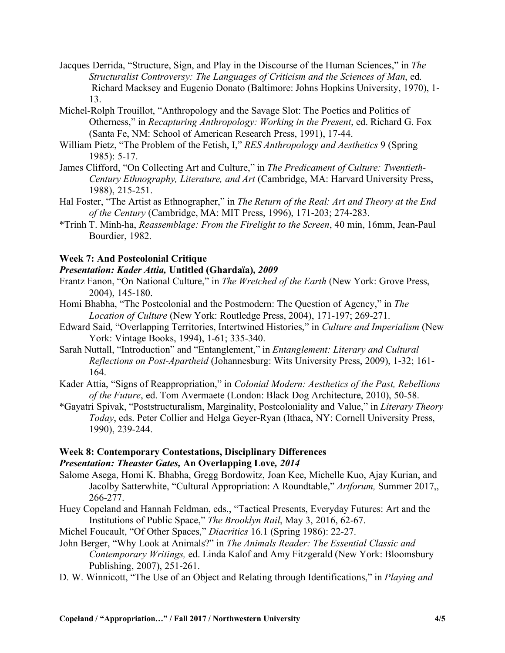- Jacques Derrida, "Structure, Sign, and Play in the Discourse of the Human Sciences," in *The Structuralist Controversy: The Languages of Criticism and the Sciences of Man*, ed. Richard Macksey and Eugenio Donato (Baltimore: Johns Hopkins University, 1970), 1- 13.
- Michel-Rolph Trouillot, "Anthropology and the Savage Slot: The Poetics and Politics of Otherness," in *Recapturing Anthropology: Working in the Present*, ed. Richard G. Fox (Santa Fe, NM: School of American Research Press, 1991), 17-44.
- William Pietz, "The Problem of the Fetish, I," *RES Anthropology and Aesthetics* 9 (Spring 1985): 5-17.
- James Clifford, "On Collecting Art and Culture," in *The Predicament of Culture: Twentieth-Century Ethnography, Literature, and Art* (Cambridge, MA: Harvard University Press, 1988), 215-251.
- Hal Foster, "The Artist as Ethnographer," in *The Return of the Real: Art and Theory at the End of the Century* (Cambridge, MA: MIT Press, 1996), 171-203; 274-283.
- \*Trinh T. Minh-ha, *Reassemblage: From the Firelight to the Screen*, 40 min, 16mm, Jean-Paul Bourdier, 1982.

#### **Week 7: And Postcolonial Critique**

#### *Presentation: Kader Attia,* **Untitled (Ghardaïa)***, 2009*

- Frantz Fanon, "On National Culture," in *The Wretched of the Earth* (New York: Grove Press, 2004), 145-180.
- Homi Bhabha, "The Postcolonial and the Postmodern: The Question of Agency," in *The Location of Culture* (New York: Routledge Press, 2004), 171-197; 269-271.
- Edward Said, "Overlapping Territories, Intertwined Histories," in *Culture and Imperialism* (New York: Vintage Books, 1994), 1-61; 335-340.
- Sarah Nuttall, "Introduction" and "Entanglement," in *Entanglement: Literary and Cultural Reflections on Post-Apartheid* (Johannesburg: Wits University Press, 2009), 1-32; 161- 164.
- Kader Attia, "Signs of Reappropriation," in *Colonial Modern: Aesthetics of the Past, Rebellions of the Future*, ed. Tom Avermaete (London: Black Dog Architecture, 2010), 50-58.
- \*Gayatri Spivak, "Poststructuralism, Marginality, Postcoloniality and Value," in *Literary Theory Today*, eds. Peter Collier and Helga Geyer-Ryan (Ithaca, NY: Cornell University Press, 1990), 239-244.

# **Week 8: Contemporary Contestations, Disciplinary Differences**

# *Presentation: Theaster Gates,* **An Overlapping Love***, 2014*

- Salome Asega, Homi K. Bhabha, Gregg Bordowitz, Joan Kee, Michelle Kuo, Ajay Kurian, and Jacolby Satterwhite, "Cultural Appropriation: A Roundtable," *Artforum,* Summer 2017,, 266-277.
- Huey Copeland and Hannah Feldman, eds., "Tactical Presents, Everyday Futures: Art and the Institutions of Public Space," *The Brooklyn Rail*, May 3, 2016, 62-67.
- Michel Foucault, "Of Other Spaces," *Diacritics* 16.1 (Spring 1986): 22-27.
- John Berger, "Why Look at Animals?" in *The Animals Reader: The Essential Classic and Contemporary Writings,* ed. Linda Kalof and Amy Fitzgerald (New York: Bloomsbury Publishing, 2007), 251-261.
- D. W. Winnicott, "The Use of an Object and Relating through Identifications," in *Playing and*